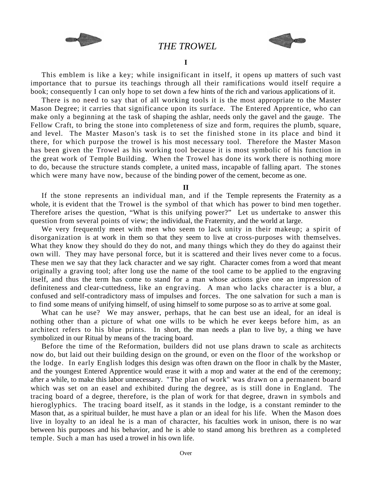

 *THE TROWEL* 



 This emblem is like a key; while insignificant in itself, it opens up matters of such vast importance that to pursue its teachings through all their ramifications would itself require a book; consequently I can only hope to set down a few hints of the rich and various applications of it.

 There is no need to say that of all working tools it is the most appropriate to the Master Mason Degree; it carries that significance upon its surface. The Entered Apprentice, who can make only a beginning at the task of shaping the ashlar, needs only the gavel and the gauge. The Fellow Craft, to bring the stone into completeness of size and form, requires the plumb, square, and level. The Master Mason's task is to set the finished stone in its place and bind it there, for which purpose the trowel is his most necessary tool. Therefore the Master Mason has been given the Trowel as his working tool because it is most symbolic of his function in the great work of Temple Building. When the Trowel has done its work there is nothing more to do, because the structure stands complete, a united mass, incapable of falling apart. The stones which were many have now, because of the binding power of the cement, become as one.

**II** 

 If the stone represents an individual man, and if the Temple represents the Fraternity as a whole, it is evident that the Trowel is the symbol of that which has power to bind men together. Therefore arises the question, "What is this unifying power?" Let us undertake to answer this question from several points of view; the individual, the Fraternity, and the world at large.

 We very frequently meet with men who seem to lack unity in their makeup; a spirit of disorganization is at work in them so that they seem to live at cross-purposes with themselves. What they know they should do they do not, and many things which they do they do against their own will. They may have personal force, but it is scattered and their lives never come to a focus. These men we say that they lack character and we say right. Character comes from a word that meant originally a graving tool; after long use the name of the tool came to be applied to the engraving itself, and thus the term has come to stand for a man whose actions give one an impression of definiteness and clear-cuttedness, like an engraving. A man who lacks character is a blur, a confused and self-contradictory mass of impulses and forces. The one salvation for such a man is to find some means of unifying himself, of using himself to some purpose so as to arrive at some goal.

 What can he use? We may answer, perhaps, that he can best use an ideal, for an ideal is nothing other than a picture of what one wills to be which he ever keeps before him, as an architect refers to his blue prints. In short, the man needs a plan to live by, a thing we have symbolized in our Ritual by means of the tracing board.

 Before the time of the Reformation, builders did not use plans drawn to scale as architects now do, but laid out their building design on the ground, or even on the floor of the workshop or the lodge. In early English lodges this design was often drawn on the floor in chalk by the Master, and the youngest Entered Apprentice would erase it with a mop and water at the end of the ceremony; after a while, to make this labor unnecessary. "The plan of work" was drawn on a permanent board which was set on an easel and exhibited during the degree, as is still done in England. The tracing board of a degree, therefore, is the plan of work for that degree, drawn in symbols and hieroglyphics. The tracing board itself, as it stands in the lodge, is a constant reminder to the Mason that, as a spiritual builder, he must have a plan or an ideal for his life. When the Mason does live in loyalty to an ideal he is a man of character, his faculties work in unison, there is no war between his purposes and his behavior, and he is able to stand among his brethren as a completed temple. Such a man has used a trowel in his own life.